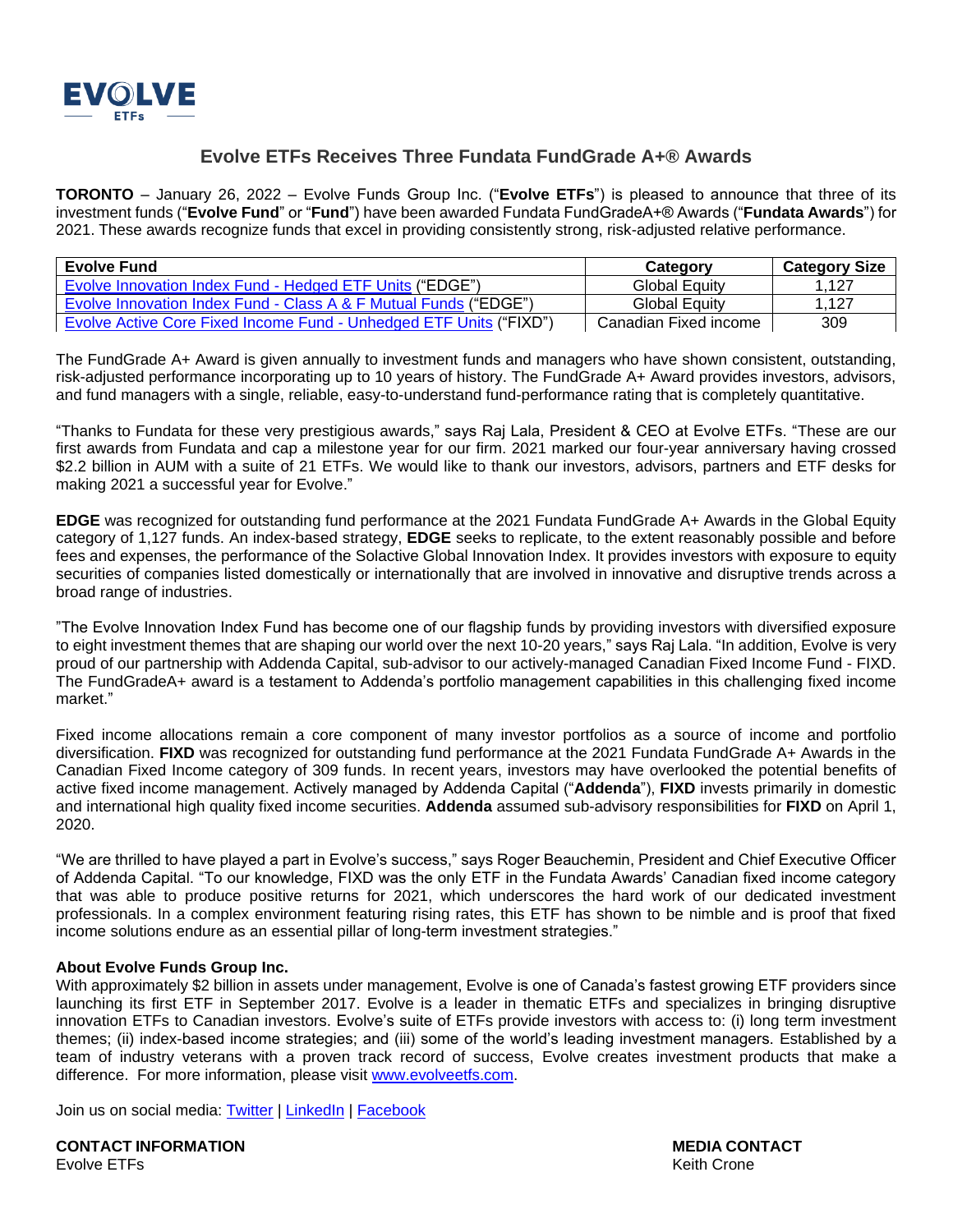

## **Evolve ETFs Receives Three Fundata FundGrade A+® Awards**

**TORONTO** – January 26, 2022 – Evolve Funds Group Inc. ("**Evolve ETFs**") is pleased to announce that three of its investment funds ("**Evolve Fund**" or "**Fund**") have been awarded Fundata FundGradeA+® Awards ("**Fundata Awards**") for 2021. These awards recognize funds that excel in providing consistently strong, risk-adjusted relative performance.

| <b>Evolve Fund</b>                                                        | Category              | <b>Category Size</b> |
|---------------------------------------------------------------------------|-----------------------|----------------------|
| Evolve Innovation Index Fund - Hedged ETF Units ("EDGE")                  | Global Equity         | .127                 |
| Evolve Innovation Index Fund - Class A & F Mutual Funds ("EDGE")          | <b>Global Equity</b>  | .127                 |
| <b>Evolve Active Core Fixed Income Fund - Unhedged ETF Units ("FIXD")</b> | Canadian Fixed income | 309                  |

The FundGrade A+ Award is given annually to investment funds and managers who have shown consistent, outstanding, risk-adjusted performance incorporating up to 10 years of history. The FundGrade A+ Award provides investors, advisors, and fund managers with a single, reliable, easy-to-understand fund-performance rating that is completely quantitative.

"Thanks to Fundata for these very prestigious awards," says Raj Lala, President & CEO at Evolve ETFs. "These are our first awards from Fundata and cap a milestone year for our firm. 2021 marked our four-year anniversary having crossed \$2.2 billion in AUM with a suite of 21 ETFs. We would like to thank our investors, advisors, partners and ETF desks for making 2021 a successful year for Evolve."

**EDGE** was recognized for outstanding fund performance at the 2021 Fundata FundGrade A+ Awards in the Global Equity category of 1,127 funds. An index-based strategy, **EDGE** seeks to replicate, to the extent reasonably possible and before fees and expenses, the performance of the Solactive Global Innovation Index. It provides investors with exposure to equity securities of companies listed domestically or internationally that are involved in innovative and disruptive trends across a broad range of industries.

"The Evolve Innovation Index Fund has become one of our flagship funds by providing investors with diversified exposure to eight investment themes that are shaping our world over the next 10-20 years," says Raj Lala. "In addition, Evolve is very proud of our partnership with Addenda Capital, sub-advisor to our actively-managed Canadian Fixed Income Fund - FIXD. The FundGradeA+ award is a testament to Addenda's portfolio management capabilities in this challenging fixed income market."

Fixed income allocations remain a core component of many investor portfolios as a source of income and portfolio diversification. **FIXD** was recognized for outstanding fund performance at the 2021 Fundata FundGrade A+ Awards in the Canadian Fixed Income category of 309 funds. In recent years, investors may have overlooked the potential benefits of active fixed income management. Actively managed by Addenda Capital ("**Addenda**"), **FIXD** invests primarily in domestic and international high quality fixed income securities. **Addenda** assumed sub-advisory responsibilities for **FIXD** on April 1, 2020.

"We are thrilled to have played a part in Evolve's success," says Roger Beauchemin, President and Chief Executive Officer of Addenda Capital. "To our knowledge, FIXD was the only ETF in the Fundata Awards' Canadian fixed income category that was able to produce positive returns for 2021, which underscores the hard work of our dedicated investment professionals. In a complex environment featuring rising rates, this ETF has shown to be nimble and is proof that fixed income solutions endure as an essential pillar of long-term investment strategies."

## **About Evolve Funds Group Inc.**

With approximately \$2 billion in assets under management, Evolve is one of Canada's fastest growing ETF providers since launching its first ETF in September 2017. Evolve is a leader in thematic ETFs and specializes in bringing disruptive innovation ETFs to Canadian investors. Evolve's suite of ETFs provide investors with access to: (i) long term investment themes; (ii) index-based income strategies; and (iii) some of the world's leading investment managers. Established by a team of industry veterans with a proven track record of success, Evolve creates investment products that make a difference. For more information, please visit [www.evolveetfs.com.](http://www.evolveetfs.com/)

Join us on social media: [Twitter](https://twitter.com/EvolveETFs) | [LinkedIn](https://www.linkedin.com/company/16271850/) | [Facebook](https://www.facebook.com/EvolveETFs/?ref=bookmarks)

**CONTACT INFORMATION MEDIA CONTACT** Evolve ETFs **Keith Crone**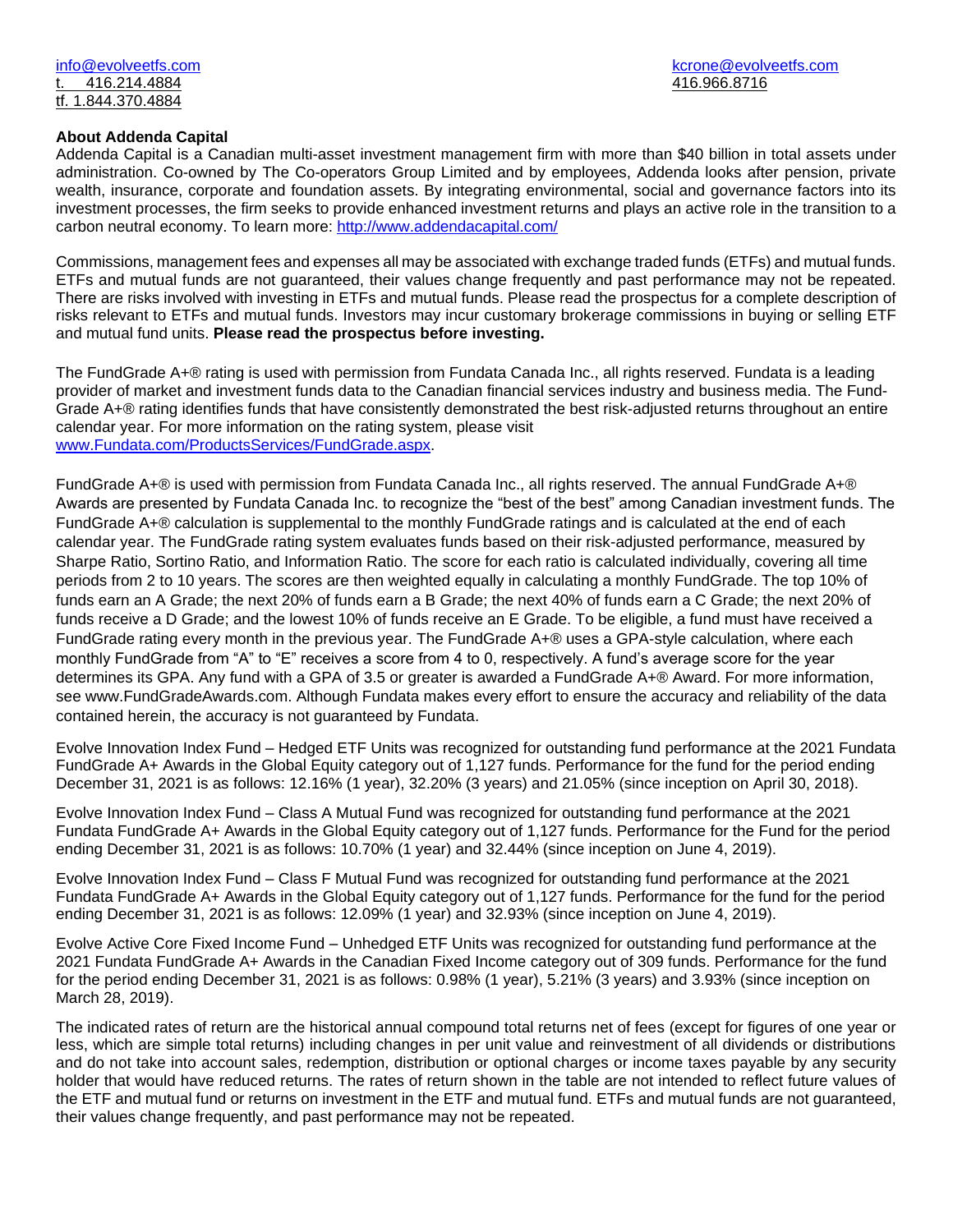## **About Addenda Capital**

Addenda Capital is a Canadian multi-asset investment management firm with more than \$40 billion in total assets under administration. Co-owned by The Co-operators Group Limited and by employees, Addenda looks after pension, private wealth, insurance, corporate and foundation assets. By integrating environmental, social and governance factors into its investment processes, the firm seeks to provide enhanced investment returns and plays an active role in the transition to a carbon neutral economy. To learn more:<http://www.addendacapital.com/>

Commissions, management fees and expenses all may be associated with exchange traded funds (ETFs) and mutual funds. ETFs and mutual funds are not guaranteed, their values change frequently and past performance may not be repeated. There are risks involved with investing in ETFs and mutual funds. Please read the prospectus for a complete description of risks relevant to ETFs and mutual funds. Investors may incur customary brokerage commissions in buying or selling ETF and mutual fund units. **Please read the prospectus before investing.**

The FundGrade A+® rating is used with permission from Fundata Canada Inc., all rights reserved. Fundata is a leading provider of market and investment funds data to the Canadian financial services industry and business media. The Fund-Grade A+® rating identifies funds that have consistently demonstrated the best risk-adjusted returns throughout an entire calendar year. For more information on the rating system, please visit [www.Fundata.com/ProductsServices/FundGrade.aspx.](http://www.fundata.com/ProductsServices/FundGrade.aspx)

FundGrade A+® is used with permission from Fundata Canada Inc., all rights reserved. The annual FundGrade A+® Awards are presented by Fundata Canada Inc. to recognize the "best of the best" among Canadian investment funds. The FundGrade A+® calculation is supplemental to the monthly FundGrade ratings and is calculated at the end of each calendar year. The FundGrade rating system evaluates funds based on their risk-adjusted performance, measured by Sharpe Ratio, Sortino Ratio, and Information Ratio. The score for each ratio is calculated individually, covering all time periods from 2 to 10 years. The scores are then weighted equally in calculating a monthly FundGrade. The top 10% of funds earn an A Grade; the next 20% of funds earn a B Grade; the next 40% of funds earn a C Grade; the next 20% of funds receive a D Grade; and the lowest 10% of funds receive an E Grade. To be eligible, a fund must have received a FundGrade rating every month in the previous year. The FundGrade A+® uses a GPA-style calculation, where each monthly FundGrade from "A" to "E" receives a score from 4 to 0, respectively. A fund's average score for the year determines its GPA. Any fund with a GPA of 3.5 or greater is awarded a FundGrade A+® Award. For more information, see www.FundGradeAwards.com. Although Fundata makes every effort to ensure the accuracy and reliability of the data contained herein, the accuracy is not guaranteed by Fundata.

Evolve Innovation Index Fund – Hedged ETF Units was recognized for outstanding fund performance at the 2021 Fundata FundGrade A+ Awards in the Global Equity category out of 1,127 funds. Performance for the fund for the period ending December 31, 2021 is as follows: 12.16% (1 year), 32.20% (3 years) and 21.05% (since inception on April 30, 2018).

Evolve Innovation Index Fund – Class A Mutual Fund was recognized for outstanding fund performance at the 2021 Fundata FundGrade A+ Awards in the Global Equity category out of 1,127 funds. Performance for the Fund for the period ending December 31, 2021 is as follows: 10.70% (1 year) and 32.44% (since inception on June 4, 2019).

Evolve Innovation Index Fund – Class F Mutual Fund was recognized for outstanding fund performance at the 2021 Fundata FundGrade A+ Awards in the Global Equity category out of 1,127 funds. Performance for the fund for the period ending December 31, 2021 is as follows: 12.09% (1 year) and 32.93% (since inception on June 4, 2019).

Evolve Active Core Fixed Income Fund – Unhedged ETF Units was recognized for outstanding fund performance at the 2021 Fundata FundGrade A+ Awards in the Canadian Fixed Income category out of 309 funds. Performance for the fund for the period ending December 31, 2021 is as follows: 0.98% (1 year), 5.21% (3 years) and 3.93% (since inception on March 28, 2019).

The indicated rates of return are the historical annual compound total returns net of fees (except for figures of one year or less, which are simple total returns) including changes in per unit value and reinvestment of all dividends or distributions and do not take into account sales, redemption, distribution or optional charges or income taxes payable by any security holder that would have reduced returns. The rates of return shown in the table are not intended to reflect future values of the ETF and mutual fund or returns on investment in the ETF and mutual fund. ETFs and mutual funds are not guaranteed, their values change frequently, and past performance may not be repeated.